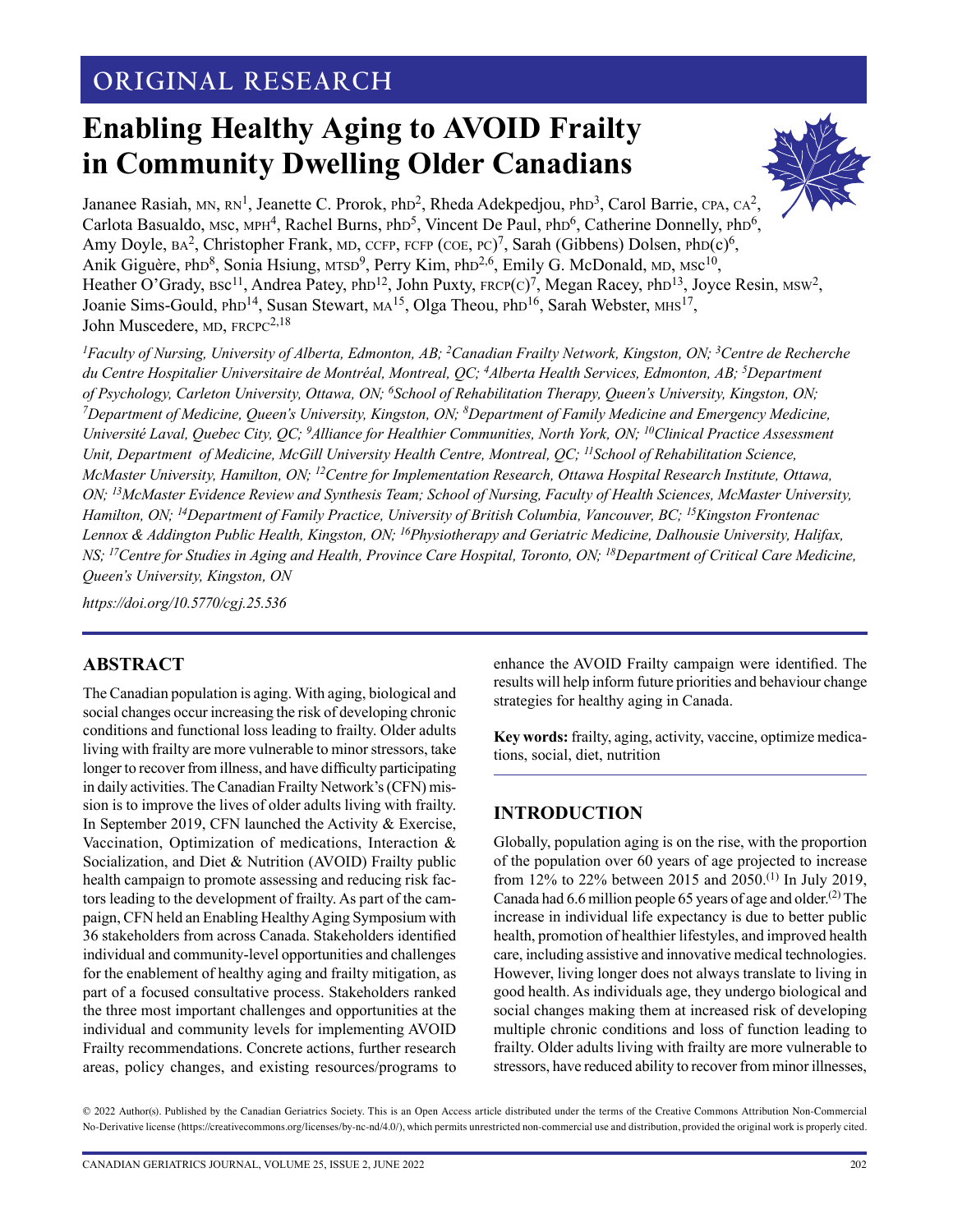## **ORIGINAL RESEARCH**

# **Enabling Healthy Aging to AVOID Frailty in Community Dwelling Older Canadians**



Jananee Rasiah, MN,  $RN^1$ , Jeanette C. Prorok, PhD<sup>2</sup>, Rheda Adekpedjou, PhD<sup>3</sup>, Carol Barrie, CPA, CA<sup>2</sup>, Carlota Basualdo, MSc, MPH<sup>4</sup>, Rachel Burns, PhD<sup>5</sup>, Vincent De Paul, PhD<sup>6</sup>, Catherine Donnelly, PhD<sup>6</sup>, Amy Doyle,  $BA^2$ , Christopher Frank, MD, CCFP, FCFP (COE, PC)<sup>7</sup>, Sarah (Gibbens) Dolsen, PhD(c)<sup>6</sup>, Anik Giguère, PhD<sup>8</sup>, Sonia Hsiung, MTSD<sup>9</sup>, Perry Kim, PhD<sup>2,6</sup>, Emily G. McDonald, MD, MSc<sup>10</sup>, Heather O'Grady, Bsc<sup>11</sup>, Andrea Patey, PhD<sup>12</sup>, John Puxty, FRCP(C)<sup>7</sup>, Megan Racey, PhD<sup>13</sup>, Joyce Resin, MSW<sup>2</sup>, Joanie Sims-Gould, PhD<sup>14</sup>, Susan Stewart, MA<sup>15</sup>, Olga Theou, PhD<sup>16</sup>, Sarah Webster, MHS<sup>17</sup>, John Muscedere, MD, FRCPC<sup>2,18</sup>

*1 Faculty of Nursing, University of Alberta, Edmonton, AB; 2Canadian Frailty Network, Kingston, ON; 3Centre de Recherche du Centre Hospitalier Universitaire de Montréal, Montreal, QC; 4Alberta Health Services, Edmonton, AB; 5Department of Psychology, Carleton University, Ottawa, ON; 6School of Rehabilitation Therapy, Queen's University, Kingston, ON; 7Department of Medicine, Queen's University, Kingston, ON; 8Department of Family Medicine and Emergency Medicine, Université Laval, Quebec City, QC; 9 Alliance for Healthier Communities, North York, ON; 10Clinical Practice Assessment Unit, Department of Medicine, McGill University Health Centre, Montreal, QC; 11School of Rehabilitation Science, McMaster University, Hamilton, ON; 12Centre for Implementation Research, Ottawa Hospital Research Institute, Ottawa, ON; 13McMaster Evidence Review and Synthesis Team; School of Nursing, Faculty of Health Sciences, McMaster University, Hamilton, ON; 14Department of Family Practice, University of British Columbia, Vancouver, BC; 15Kingston Frontenac Lennox & Addington Public Health, Kingston, ON; 16Physiotherapy and Geriatric Medicine, Dalhousie University, Halifax, NS; 17Centre for Studies in Aging and Health, Province Care Hospital, Toronto, ON; 18Department of Critical Care Medicine, Queen's University, Kingston, ON* 

*<https://doi.org/10.5770/cgj.25.536>*

## **ABSTRACT**

The Canadian population is aging. With aging, biological and social changes occur increasing the risk of developing chronic conditions and functional loss leading to frailty. Older adults living with frailty are more vulnerable to minor stressors, take longer to recover from illness, and have difficulty participating in daily activities. The Canadian Frailty Network's (CFN) mission is to improve the lives of older adults living with frailty. In September 2019, CFN launched the Activity & Exercise, Vaccination, Optimization of medications, Interaction & Socialization, and Diet & Nutrition (AVOID) Frailty public health campaign to promote assessing and reducing risk factors leading to the development of frailty. As part of the campaign, CFN held an Enabling Healthy Aging Symposium with 36 stakeholders from across Canada. Stakeholders identified individual and community-level opportunities and challenges for the enablement of healthy aging and frailty mitigation, as part of a focused consultative process. Stakeholders ranked the three most important challenges and opportunities at the individual and community levels for implementing AVOID Frailty recommendations. Concrete actions, further research areas, policy changes, and existing resources/programs to enhance the AVOID Frailty campaign were identified. The results will help inform future priorities and behaviour change strategies for healthy aging in Canada.

**Key words:** frailty, aging, activity, vaccine, optimize medications, social, diet, nutrition

## **INTRODUCTION**

Globally, population aging is on the rise, with the proportion of the population over 60 years of age projected to increase from 12% to 22% between 2015 and 2050.<sup>(1)</sup> In July 2019, Canada had  $6.6$  million people  $65$  years of age and older.<sup>(2)</sup> The increase in individual life expectancy is due to better public health, promotion of healthier lifestyles, and improved health care, including assistive and innovative medical technologies. However, living longer does not always translate to living in good health. As individuals age, they undergo biological and social changes making them at increased risk of developing multiple chronic conditions and loss of function leading to frailty. Older adults living with frailty are more vulnerable to stressors, have reduced ability to recover from minor illnesses,

© 2022 Author(s). Published by the Canadian Geriatrics Society. This is an Open Access article distributed under the terms of the Creative Commons Attribution Non-Commercial No-Derivative license (https://creativecommons.org/licenses/by-nc-nd/4.0/), which permits unrestricted non-commercial use and distribution, provided the original work is properly cited.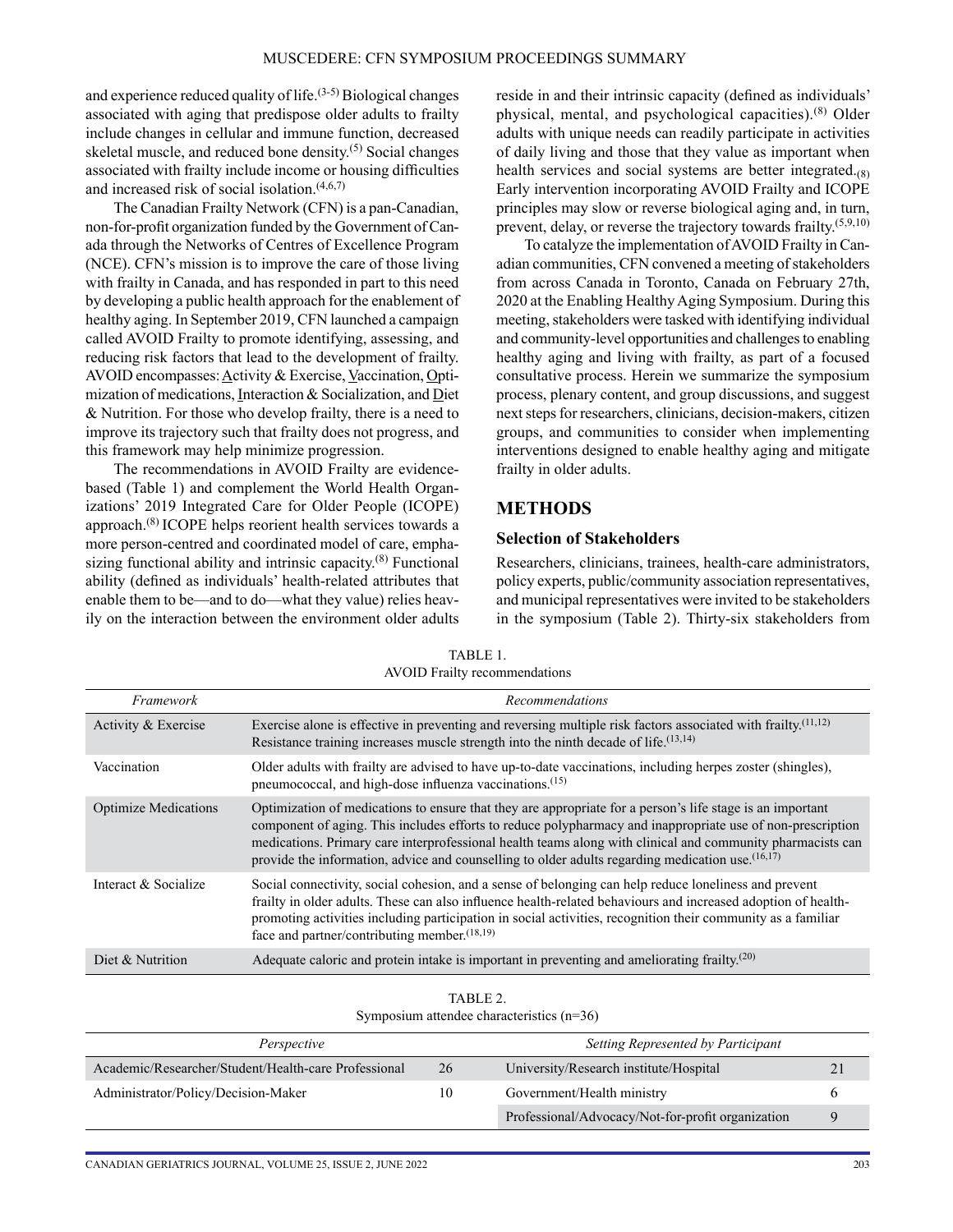and experience reduced quality of life. $(3-5)$  Biological changes associated with aging that predispose older adults to frailty include changes in cellular and immune function, decreased skeletal muscle, and reduced bone density.<sup>(5)</sup> Social changes associated with frailty include income or housing difficulties and increased risk of social isolation. $(4,6,7)$ 

The Canadian Frailty Network (CFN) is a pan-Canadian, non-for-profit organization funded by the Government of Canada through the Networks of Centres of Excellence Program (NCE). CFN's mission is to improve the care of those living with frailty in Canada, and has responded in part to this need by developing a public health approach for the enablement of healthy aging. In September 2019, CFN launched a campaign called AVOID Frailty to promote identifying, assessing, and reducing risk factors that lead to the development of frailty. AVOID encompasses: Activity & Exercise, Vaccination, Optimization of medications, Interaction & Socialization, and Diet & Nutrition. For those who develop frailty, there is a need to improve its trajectory such that frailty does not progress, and this framework may help minimize progression.

The recommendations in AVOID Frailty are evidencebased (Table 1) and complement the World Health Organizations' 2019 Integrated Care for Older People (ICOPE) approach.(8) ICOPE helps reorient health services towards a more person-centred and coordinated model of care, emphasizing functional ability and intrinsic capacity.<sup>(8)</sup> Functional ability (defined as individuals' health-related attributes that enable them to be—and to do—what they value) relies heavily on the interaction between the environment older adults reside in and their intrinsic capacity (defined as individuals' physical, mental, and psychological capacities).(8) Older adults with unique needs can readily participate in activities of daily living and those that they value as important when health services and social systems are better integrated.<sub>(8)</sub> Early intervention incorporating AVOID Frailty and ICOPE principles may slow or reverse biological aging and, in turn, prevent, delay, or reverse the trajectory towards frailty.(5,9,10)

To catalyze the implementation of AVOID Frailty in Canadian communities, CFN convened a meeting of stakeholders from across Canada in Toronto, Canada on February 27th, 2020 at the Enabling Healthy Aging Symposium. During this meeting, stakeholders were tasked with identifying individual and community-level opportunities and challenges to enabling healthy aging and living with frailty, as part of a focused consultative process. Herein we summarize the symposium process, plenary content, and group discussions, and suggest next steps for researchers, clinicians, decision-makers, citizen groups, and communities to consider when implementing interventions designed to enable healthy aging and mitigate frailty in older adults.

## **METHODS**

#### **Selection of Stakeholders**

Researchers, clinicians, trainees, health-care administrators, policy experts, public/community association representatives, and municipal representatives were invited to be stakeholders in the symposium (Table 2). Thirty-six stakeholders from

| Framework                   | <b>Recommendations</b>                                                                                                                                                                                                                                                                                                                                                                                                                                |
|-----------------------------|-------------------------------------------------------------------------------------------------------------------------------------------------------------------------------------------------------------------------------------------------------------------------------------------------------------------------------------------------------------------------------------------------------------------------------------------------------|
| Activity & Exercise         | Exercise alone is effective in preventing and reversing multiple risk factors associated with frailty. <sup>(11,12)</sup><br>Resistance training increases muscle strength into the ninth decade of life. <sup>(13,14)</sup>                                                                                                                                                                                                                          |
| Vaccination                 | Older adults with frailty are advised to have up-to-date vaccinations, including herpes zoster (shingles),<br>pneumococcal, and high-dose influenza vaccinations. <sup>(15)</sup>                                                                                                                                                                                                                                                                     |
| <b>Optimize Medications</b> | Optimization of medications to ensure that they are appropriate for a person's life stage is an important<br>component of aging. This includes efforts to reduce polypharmacy and inappropriate use of non-prescription<br>medications. Primary care interprofessional health teams along with clinical and community pharmacists can<br>provide the information, advice and counselling to older adults regarding medication use. <sup>(16,17)</sup> |
| Interact & Socialize        | Social connectivity, social cohesion, and a sense of belonging can help reduce loneliness and prevent<br>frailty in older adults. These can also influence health-related behaviours and increased adoption of health-<br>promoting activities including participation in social activities, recognition their community as a familiar<br>face and partner/contributing member. $(18,19)$                                                             |
| Diet & Nutrition            | Adequate caloric and protein intake is important in preventing and ameliorating frailty. <sup><math>(20)</math></sup>                                                                                                                                                                                                                                                                                                                                 |

| TABLE 1.                             |  |
|--------------------------------------|--|
| <b>AVOID Frailty recommendations</b> |  |

| TABLE 2.                                    |
|---------------------------------------------|
| Symposium attendee characteristics $(n=36)$ |

| Perspective                                          | Setting Represented by Participant |                                                   |   |
|------------------------------------------------------|------------------------------------|---------------------------------------------------|---|
| Academic/Researcher/Student/Health-care Professional | 26                                 | University/Research institute/Hospital            |   |
| Administrator/Policy/Decision-Maker                  | 10                                 | Government/Health ministry                        |   |
|                                                      |                                    | Professional/Advocacy/Not-for-profit organization | Q |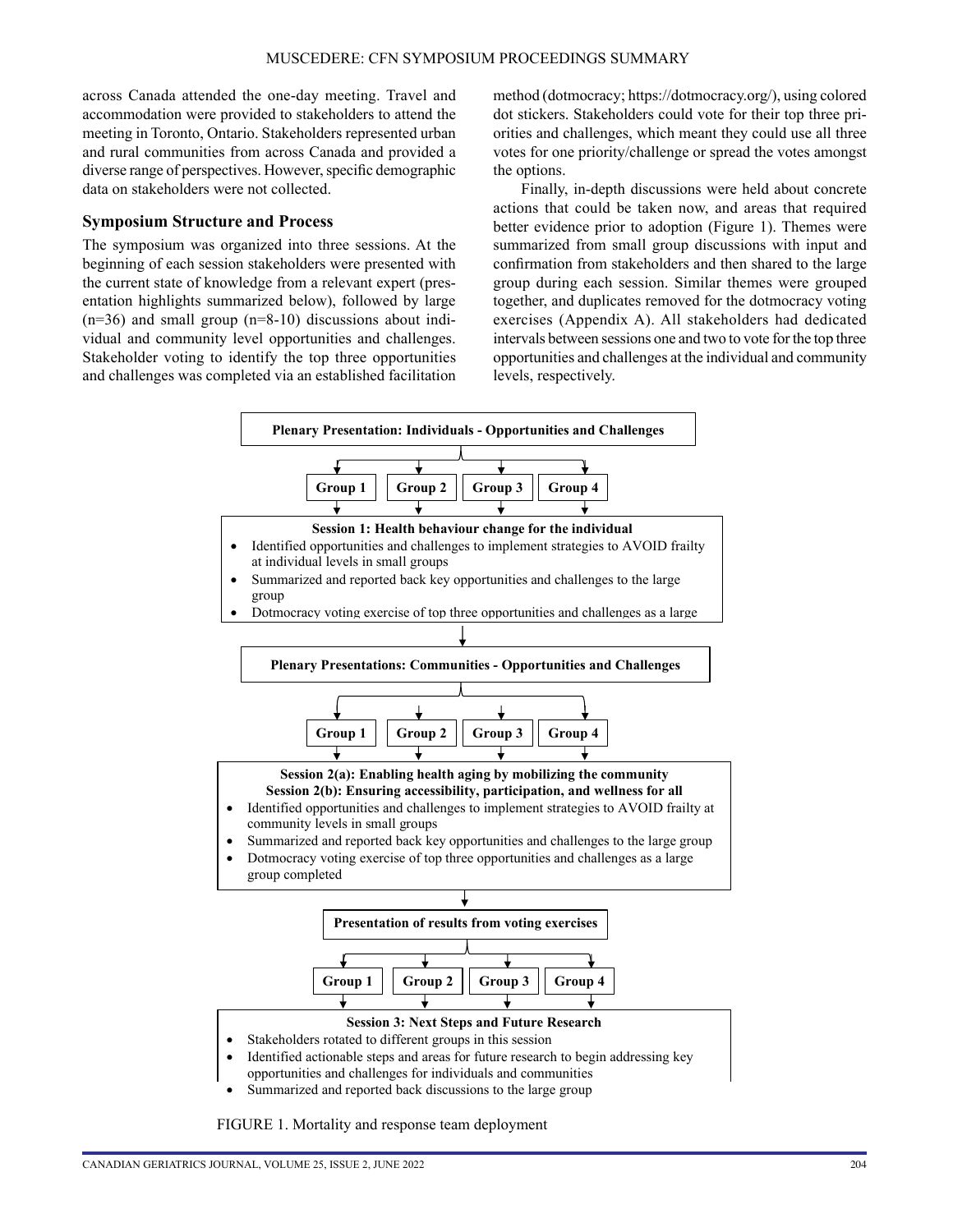across Canada attended the one-day meeting. Travel and accommodation were provided to stakeholders to attend the meeting in Toronto, Ontario. Stakeholders represented urban and rural communities from across Canada and provided a diverse range of perspectives. However, specific demographic data on stakeholders were not collected.

#### **Symposium Structure and Process**

The symposium was organized into three sessions. At the beginning of each session stakeholders were presented with the current state of knowledge from a relevant expert (presentation highlights summarized below), followed by large  $(n=36)$  and small group  $(n=8-10)$  discussions about individual and community level opportunities and challenges. Stakeholder voting to identify the top three opportunities and challenges was completed via an established facilitation

method (dotmocracy;<https://dotmocracy.org/>), using colored dot stickers. Stakeholders could vote for their top three priorities and challenges, which meant they could use all three votes for one priority/challenge or spread the votes amongst the options.

Finally, in-depth discussions were held about concrete actions that could be taken now, and areas that required better evidence prior to adoption (Figure 1). Themes were summarized from small group discussions with input and confirmation from stakeholders and then shared to the large group during each session. Similar themes were grouped together, and duplicates removed for the dotmocracy voting exercises (Appendix A). All stakeholders had dedicated intervals between sessions one and two to vote for the top three opportunities and challenges at the individual and community levels, respectively.



FIGURE 1. Mortality and response team deployment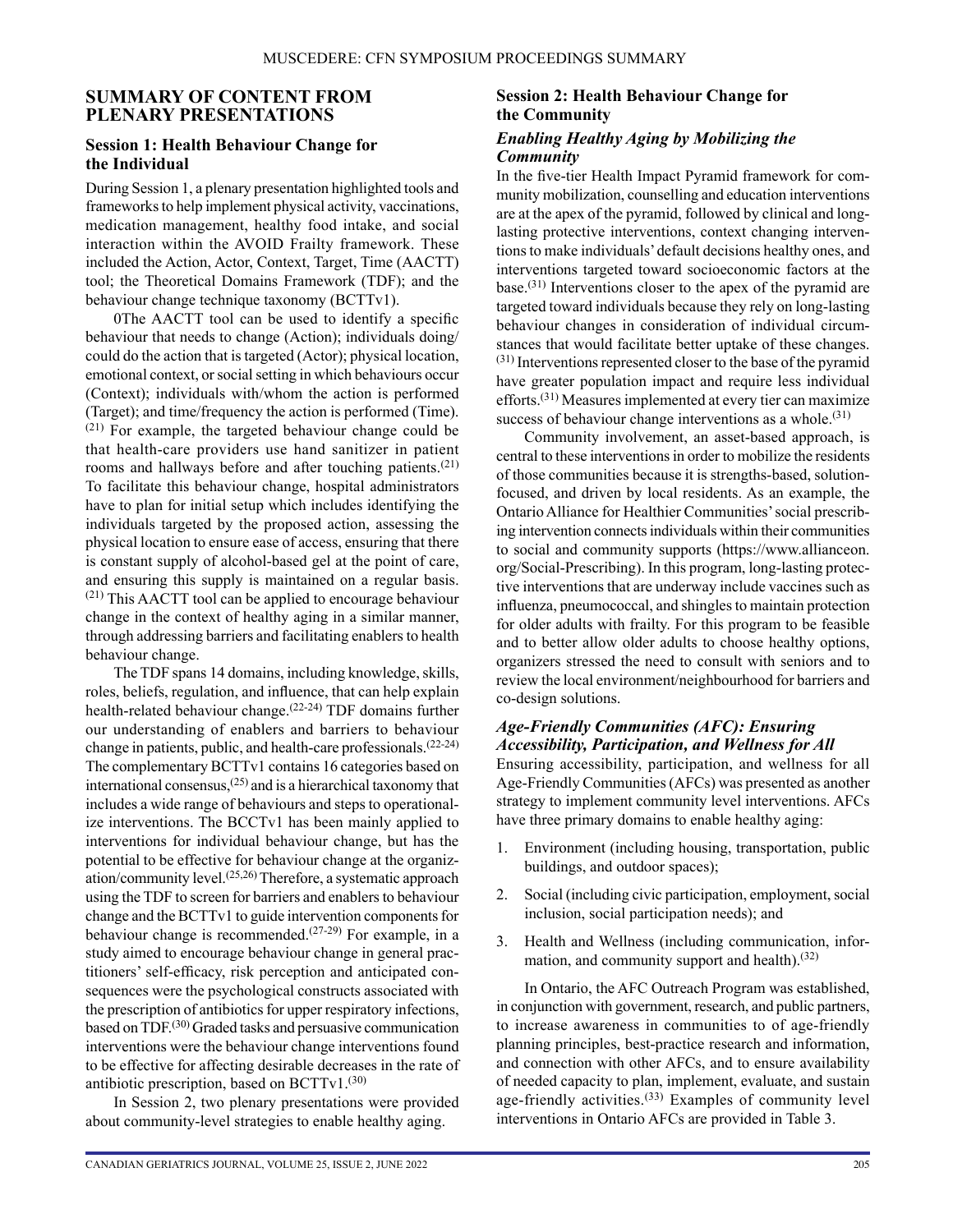#### **SUMMARY OF CONTENT FROM PLENARY PRESENTATIONS**

#### **Session 1: Health Behaviour Change for the Individual**

During Session 1, a plenary presentation highlighted tools and frameworks to help implement physical activity, vaccinations, medication management, healthy food intake, and social interaction within the AVOID Frailty framework. These included the Action, Actor, Context, Target, Time (AACTT) tool; the Theoretical Domains Framework (TDF); and the behaviour change technique taxonomy (BCTTv1).

0The AACTT tool can be used to identify a specific behaviour that needs to change (Action); individuals doing/ could do the action that is targeted (Actor); physical location, emotional context, or social setting in which behaviours occur (Context); individuals with/whom the action is performed (Target); and time/frequency the action is performed (Time). (21) For example, the targeted behaviour change could be that health-care providers use hand sanitizer in patient rooms and hallways before and after touching patients.<sup>(21)</sup> To facilitate this behaviour change, hospital administrators have to plan for initial setup which includes identifying the individuals targeted by the proposed action, assessing the physical location to ensure ease of access, ensuring that there is constant supply of alcohol-based gel at the point of care, and ensuring this supply is maintained on a regular basis. (21) This AACTT tool can be applied to encourage behaviour change in the context of healthy aging in a similar manner, through addressing barriers and facilitating enablers to health behaviour change.

The TDF spans 14 domains, including knowledge, skills, roles, beliefs, regulation, and influence, that can help explain health-related behaviour change.(22-24) TDF domains further our understanding of enablers and barriers to behaviour change in patients, public, and health-care professionals.(22-24) The complementary BCTTv1 contains 16 categories based on international consensus, $(25)$  and is a hierarchical taxonomy that includes a wide range of behaviours and steps to operationalize interventions. The BCCTv1 has been mainly applied to interventions for individual behaviour change, but has the potential to be effective for behaviour change at the organization/community level.(25,26) Therefore, a systematic approach using the TDF to screen for barriers and enablers to behaviour change and the BCTTv1 to guide intervention components for behaviour change is recommended.<sup>(27-29)</sup> For example, in a study aimed to encourage behaviour change in general practitioners' self-efficacy, risk perception and anticipated consequences were the psychological constructs associated with the prescription of antibiotics for upper respiratory infections, based on TDF.(30) Graded tasks and persuasive communication interventions were the behaviour change interventions found to be effective for affecting desirable decreases in the rate of antibiotic prescription, based on  $BCTTv1$ .<sup>(30)</sup>

In Session 2, two plenary presentations were provided about community-level strategies to enable healthy aging.

## **Session 2: Health Behaviour Change for the Community**

#### *Enabling Healthy Aging by Mobilizing the Community*

In the five-tier Health Impact Pyramid framework for community mobilization, counselling and education interventions are at the apex of the pyramid, followed by clinical and longlasting protective interventions, context changing interventions to make individuals' default decisions healthy ones, and interventions targeted toward socioeconomic factors at the base.<sup> $(31)$ </sup> Interventions closer to the apex of the pyramid are targeted toward individuals because they rely on long-lasting behaviour changes in consideration of individual circumstances that would facilitate better uptake of these changes. (31) Interventions represented closer to the base of the pyramid have greater population impact and require less individual efforts.(31) Measures implemented at every tier can maximize success of behaviour change interventions as a whole.<sup>(31)</sup>

Community involvement, an asset-based approach, is central to these interventions in order to mobilize the residents of those communities because it is strengths-based, solutionfocused, and driven by local residents. As an example, the Ontario Alliance for Healthier Communities' social prescribing intervention connects individuals within their communities to social and community supports [\(https://www.allianceon.](https://www.allianceon.org/Social-Prescribing) [org/Social-Prescribing\)](https://www.allianceon.org/Social-Prescribing). In this program, long-lasting protective interventions that are underway include vaccines such as influenza, pneumococcal, and shingles to maintain protection for older adults with frailty. For this program to be feasible and to better allow older adults to choose healthy options, organizers stressed the need to consult with seniors and to review the local environment/neighbourhood for barriers and co-design solutions.

## *Age-Friendly Communities (AFC): Ensuring Accessibility, Participation, and Wellness for All*

Ensuring accessibility, participation, and wellness for all Age-Friendly Communities (AFCs) was presented as another strategy to implement community level interventions. AFCs have three primary domains to enable healthy aging:

- 1. Environment (including housing, transportation, public buildings, and outdoor spaces);
- 2. Social (including civic participation, employment, social inclusion, social participation needs); and
- 3. Health and Wellness (including communication, information, and community support and health). $(32)$

In Ontario, the AFC Outreach Program was established, in conjunction with government, research, and public partners, to increase awareness in communities to of age-friendly planning principles, best-practice research and information, and connection with other AFCs, and to ensure availability of needed capacity to plan, implement, evaluate, and sustain age-friendly activities.<sup>(33)</sup> Examples of community level interventions in Ontario AFCs are provided in Table 3.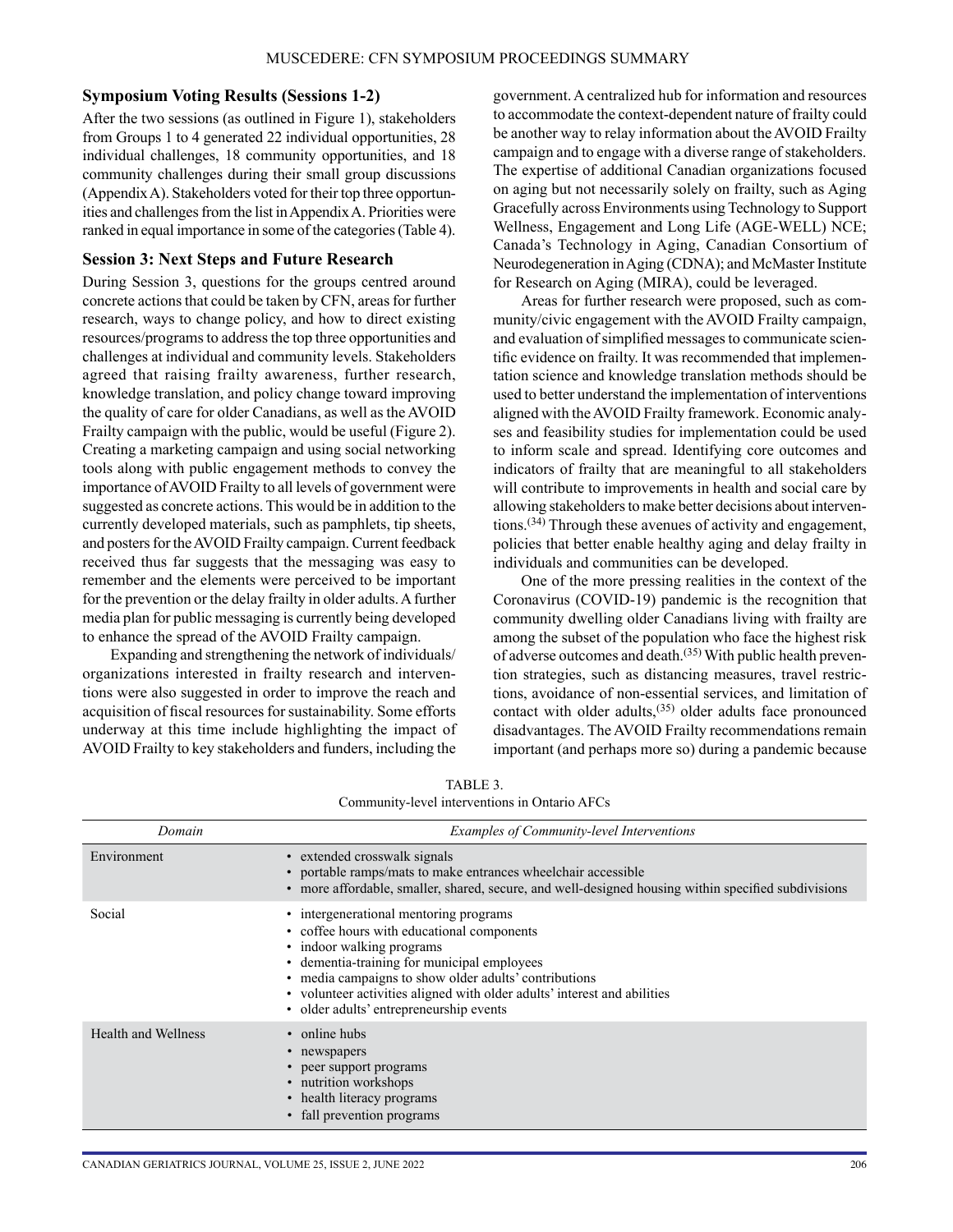#### **Symposium Voting Results (Sessions 1-2)**

After the two sessions (as outlined in Figure 1), stakeholders from Groups 1 to 4 generated 22 individual opportunities, 28 individual challenges, 18 community opportunities, and 18 community challenges during their small group discussions (Appendix A). Stakeholders voted for their top three opportunities and challenges from the list in AppendixA. Priorities were ranked in equal importance in some of the categories (Table 4).

#### **Session 3: Next Steps and Future Research**

During Session 3, questions for the groups centred around concrete actions that could be taken by CFN, areas for further research, ways to change policy, and how to direct existing resources/programs to address the top three opportunities and challenges at individual and community levels. Stakeholders agreed that raising frailty awareness, further research, knowledge translation, and policy change toward improving the quality of care for older Canadians, as well as the AVOID Frailty campaign with the public, would be useful (Figure 2). Creating a marketing campaign and using social networking tools along with public engagement methods to convey the importance of AVOID Frailty to all levels of government were suggested as concrete actions. This would be in addition to the currently developed materials, such as pamphlets, tip sheets, and posters for the AVOID Frailty campaign. Current feedback received thus far suggests that the messaging was easy to remember and the elements were perceived to be important for the prevention or the delay frailty in older adults. A further media plan for public messaging is currently being developed to enhance the spread of the AVOID Frailty campaign.

Expanding and strengthening the network of individuals/ organizations interested in frailty research and interventions were also suggested in order to improve the reach and acquisition of fiscal resources for sustainability. Some efforts underway at this time include highlighting the impact of AVOID Frailty to key stakeholders and funders, including the

government. A centralized hub for information and resources to accommodate the context-dependent nature of frailty could be another way to relay information about the AVOID Frailty campaign and to engage with a diverse range of stakeholders. The expertise of additional Canadian organizations focused on aging but not necessarily solely on frailty, such as Aging Gracefully across Environments using Technology to Support Wellness, Engagement and Long Life (AGE-WELL) NCE; Canada's Technology in Aging, Canadian Consortium of Neurodegeneration in Aging (CDNA); and McMaster Institute for Research on Aging (MIRA), could be leveraged.

Areas for further research were proposed, such as community/civic engagement with the AVOID Frailty campaign, and evaluation of simplified messages to communicate scientific evidence on frailty. It was recommended that implementation science and knowledge translation methods should be used to better understand the implementation of interventions aligned with the AVOID Frailty framework. Economic analyses and feasibility studies for implementation could be used to inform scale and spread. Identifying core outcomes and indicators of frailty that are meaningful to all stakeholders will contribute to improvements in health and social care by allowing stakeholders to make better decisions about interventions.(34) Through these avenues of activity and engagement, policies that better enable healthy aging and delay frailty in individuals and communities can be developed.

One of the more pressing realities in the context of the Coronavirus (COVID-19) pandemic is the recognition that community dwelling older Canadians living with frailty are among the subset of the population who face the highest risk of adverse outcomes and death.(35) With public health prevention strategies, such as distancing measures, travel restrictions, avoidance of non-essential services, and limitation of contact with older adults, $(35)$  older adults face pronounced disadvantages. The AVOID Frailty recommendations remain important (and perhaps more so) during a pandemic because

| Domain                     | <b>Examples of Community-level Interventions</b>                                                                                                                                                                                                                                                                                                 |  |  |  |
|----------------------------|--------------------------------------------------------------------------------------------------------------------------------------------------------------------------------------------------------------------------------------------------------------------------------------------------------------------------------------------------|--|--|--|
| Environment                | extended crosswalk signals<br>• portable ramps/mats to make entrances wheelchair accessible<br>more affordable, smaller, shared, secure, and well-designed housing within specified subdivisions                                                                                                                                                 |  |  |  |
| Social                     | • intergenerational mentoring programs<br>• coffee hours with educational components<br>• indoor walking programs<br>• dementia-training for municipal employees<br>• media campaigns to show older adults' contributions<br>• volunteer activities aligned with older adults' interest and abilities<br>• older adults' entrepreneurship events |  |  |  |
| <b>Health and Wellness</b> | • online hubs<br>newspapers<br>peer support programs<br>• nutrition workshops<br>• health literacy programs<br>• fall prevention programs                                                                                                                                                                                                        |  |  |  |

TABLE 3. Community-level interventions in Ontario AFCs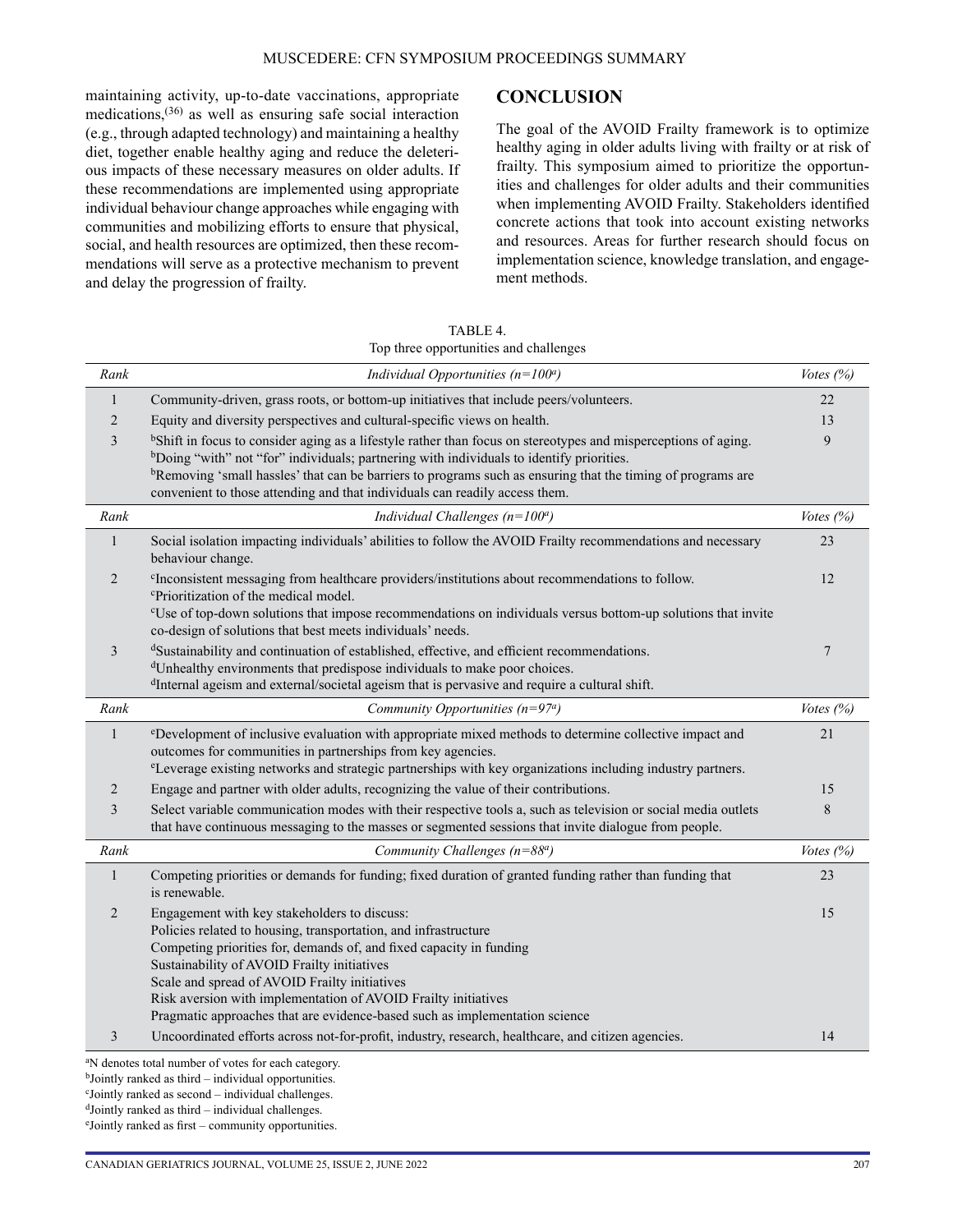maintaining activity, up-to-date vaccinations, appropriate medications,(36) as well as ensuring safe social interaction (e.g., through adapted technology) and maintaining a healthy diet, together enable healthy aging and reduce the deleterious impacts of these necessary measures on older adults. If these recommendations are implemented using appropriate individual behaviour change approaches while engaging with communities and mobilizing efforts to ensure that physical, social, and health resources are optimized, then these recommendations will serve as a protective mechanism to prevent and delay the progression of frailty.

#### **CONCLUSION**

The goal of the AVOID Frailty framework is to optimize healthy aging in older adults living with frailty or at risk of frailty. This symposium aimed to prioritize the opportunities and challenges for older adults and their communities when implementing AVOID Frailty. Stakeholders identified concrete actions that took into account existing networks and resources. Areas for further research should focus on implementation science, knowledge translation, and engagement methods.

TABLE 4. Top three opportunities and challenges

| Rank           | Individual Opportunities ( $n=100^a$ )                                                                                                                                                                                                                                                                                                                                                                                                       | Votes $(%)$        |  |  |  |
|----------------|----------------------------------------------------------------------------------------------------------------------------------------------------------------------------------------------------------------------------------------------------------------------------------------------------------------------------------------------------------------------------------------------------------------------------------------------|--------------------|--|--|--|
| 1              | Community-driven, grass roots, or bottom-up initiatives that include peers/volunteers.                                                                                                                                                                                                                                                                                                                                                       | 22                 |  |  |  |
| 2              | Equity and diversity perspectives and cultural-specific views on health.                                                                                                                                                                                                                                                                                                                                                                     |                    |  |  |  |
| 3              | <sup>b</sup> Shift in focus to consider aging as a lifestyle rather than focus on stereotypes and misperceptions of aging.<br><sup>b</sup> Doing "with" not "for" individuals; partnering with individuals to identify priorities.<br><sup>b</sup> Removing 'small hassles' that can be barriers to programs such as ensuring that the timing of programs are<br>convenient to those attending and that individuals can readily access them. | 9                  |  |  |  |
| Rank           | Individual Challenges ( $n=100^a$ )                                                                                                                                                                                                                                                                                                                                                                                                          | <i>Votes</i> $(%)$ |  |  |  |
| $\mathbf{1}$   | Social isolation impacting individuals' abilities to follow the AVOID Frailty recommendations and necessary<br>behaviour change.                                                                                                                                                                                                                                                                                                             | 23                 |  |  |  |
| $\overline{2}$ | <sup>c</sup> Inconsistent messaging from healthcare providers/institutions about recommendations to follow.<br><sup>c</sup> Prioritization of the medical model.<br>"Use of top-down solutions that impose recommendations on individuals versus bottom-up solutions that invite<br>co-design of solutions that best meets individuals' needs.                                                                                               | 12                 |  |  |  |
| 3              | dSustainability and continuation of established, effective, and efficient recommendations.<br><sup>d</sup> Unhealthy environments that predispose individuals to make poor choices.<br><sup>d</sup> Internal ageism and external/societal ageism that is pervasive and require a cultural shift.                                                                                                                                             | $7\phantom{.0}$    |  |  |  |
| Rank           | Community Opportunities ( $n=97a$ )                                                                                                                                                                                                                                                                                                                                                                                                          | Votes $(%)$        |  |  |  |
| $\mathbf{1}$   | <sup>e</sup> Development of inclusive evaluation with appropriate mixed methods to determine collective impact and<br>outcomes for communities in partnerships from key agencies.<br><sup>e</sup> Leverage existing networks and strategic partnerships with key organizations including industry partners.                                                                                                                                  | 21                 |  |  |  |
| 2              | Engage and partner with older adults, recognizing the value of their contributions.                                                                                                                                                                                                                                                                                                                                                          | 15                 |  |  |  |
| 3              | Select variable communication modes with their respective tools a, such as television or social media outlets<br>that have continuous messaging to the masses or segmented sessions that invite dialogue from people.                                                                                                                                                                                                                        | $\,$ 8 $\,$        |  |  |  |
| Rank           | Community Challenges ( $n=88a$ )                                                                                                                                                                                                                                                                                                                                                                                                             | Votes (%)          |  |  |  |
| 1              | Competing priorities or demands for funding; fixed duration of granted funding rather than funding that<br>is renewable.                                                                                                                                                                                                                                                                                                                     | 23                 |  |  |  |
| 2              | Engagement with key stakeholders to discuss:<br>Policies related to housing, transportation, and infrastructure<br>Competing priorities for, demands of, and fixed capacity in funding<br>Sustainability of AVOID Frailty initiatives<br>Scale and spread of AVOID Frailty initiatives<br>Risk aversion with implementation of AVOID Frailty initiatives<br>Pragmatic approaches that are evidence-based such as implementation science      | 15                 |  |  |  |
| 3              | Uncoordinated efforts across not-for-profit, industry, research, healthcare, and citizen agencies.                                                                                                                                                                                                                                                                                                                                           | 14                 |  |  |  |
|                | <sup>a</sup> N denotes total number of votes for each category.                                                                                                                                                                                                                                                                                                                                                                              |                    |  |  |  |

c Jointly ranked as second – individual challenges.

bJointly ranked as third – individual opportunities.

 $d$ Jointly ranked as third – individual challenges.

e Jointly ranked as first – community opportunities.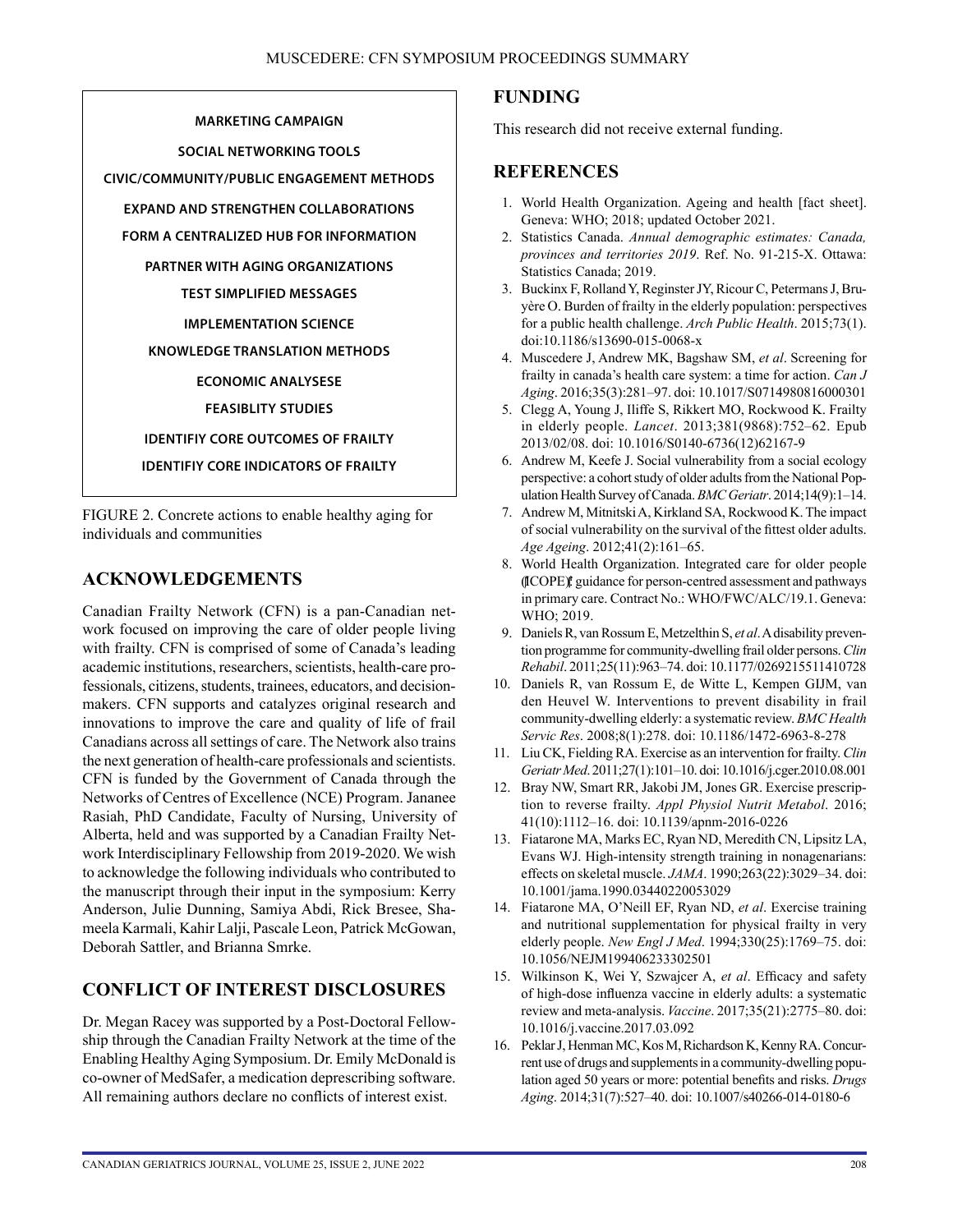**MARKETING CAMPAIGN SOCIAL NETWORKING TOOLS CIVIC/COMMUNITY/PUBLIC ENGAGEMENT METHODS EXPAND AND STRENGTHEN COLLABORATIONS FORM A CENTRALIZED HUB FOR INFORMATION PARTNER WITH AGING ORGANIZATIONS TEST SIMPLIFIED MESSAGES IMPLEMENTATION SCIENCE KNOWLEDGE TRANSLATION METHODS ECONOMIC ANALYSESE FEASIBLITY STUDIES IDENTIFIY CORE OUTCOMES OF FRAILTY IDENTIFIY CORE INDICATORS OF FRAILTY**

FIGURE 2. Concrete actions to enable healthy aging for individuals and communities

## **ACKNOWLEDGEMENTS**

Canadian Frailty Network (CFN) is a pan-Canadian network focused on improving the care of older people living with frailty. CFN is comprised of some of Canada's leading academic institutions, researchers, scientists, health-care professionals, citizens, students, trainees, educators, and decisionmakers. CFN supports and catalyzes original research and innovations to improve the care and quality of life of frail Canadians across all settings of care. The Network also trains the next generation of health-care professionals and scientists. CFN is funded by the Government of Canada through the Networks of Centres of Excellence (NCE) Program. Jananee Rasiah, PhD Candidate, Faculty of Nursing, University of Alberta, held and was supported by a Canadian Frailty Network Interdisciplinary Fellowship from 2019-2020. We wish to acknowledge the following individuals who contributed to the manuscript through their input in the symposium: Kerry Anderson, Julie Dunning, Samiya Abdi, Rick Bresee, Shameela Karmali, Kahir Lalji, Pascale Leon, Patrick McGowan, Deborah Sattler, and Brianna Smrke.

## **CONFLICT OF INTEREST DISCLOSURES**

Dr. Megan Racey was supported by a Post-Doctoral Fellowship through the Canadian Frailty Network at the time of the Enabling Healthy Aging Symposium. Dr. Emily McDonald is co-owner of MedSafer, a medication deprescribing software. All remaining authors declare no conflicts of interest exist.

## **FUNDING**

This research did not receive external funding.

## **REFERENCES**

- 1. World Health Organization. Ageing and health [fact sheet]. Geneva: WHO; 2018; updated October 2021.
- 2. Statistics Canada. *Annual demographic estimates: Canada, provinces and territories 2019*. Ref. No. 91-215-X. Ottawa: Statistics Canada; 2019.
- 3. Buckinx F, Rolland Y, Reginster JY, Ricour C, Petermans J, Bruyère O. Burden of frailty in the elderly population: perspectives for a public health challenge. *Arch Public Health*. 2015;73(1). doi:10.1186/s13690-015-0068-x
- 4. Muscedere J, Andrew MK, Bagshaw SM, *et al*. Screening for frailty in canada's health care system: a time for action. *Can J Aging*. 2016;35(3):281–97. doi: 10.1017/S0714980816000301
- 5. Clegg A, Young J, Iliffe S, Rikkert MO, Rockwood K. Frailty in elderly people. *Lancet*. 2013;381(9868):752–62. Epub 2013/02/08. doi: 10.1016/S0140-6736(12)62167-9
- 6. Andrew M, Keefe J. Social vulnerability from a social ecology perspective: a cohort study of older adults from the National Population Health Survey of Canada. *BMC Geriatr*. 2014;14(9):1–14.
- 7. Andrew M, Mitnitski A, Kirkland SA, Rockwood K. The impact of social vulnerability on the survival of the fittest older adults. *Age Ageing*. 2012;41(2):161–65.
- 8. World Health Organization. Integrated care for older people (ICOPE): guidance for person-centred assessment and pathways in primary care. Contract No.: WHO/FWC/ALC/19.1. Geneva: WHO; 2019.
- 9. Daniels R, van Rossum E, Metzelthin S, *et al*. A disability prevention programme for community-dwelling frail older persons. *Clin Rehabil*. 2011;25(11):963–74. doi: 10.1177/0269215511410728
- 10. Daniels R, van Rossum E, de Witte L, Kempen GIJM, van den Heuvel W. Interventions to prevent disability in frail community-dwelling elderly: a systematic review. *BMC Health Servic Res*. 2008;8(1):278. doi: 10.1186/1472-6963-8-278
- 11. Liu CK, Fielding RA. Exercise as an intervention for frailty. *Clin Geriatr Med*. 2011;27(1):101–10. doi: 10.1016/j.cger.2010.08.001
- 12. Bray NW, Smart RR, Jakobi JM, Jones GR. Exercise prescription to reverse frailty. *Appl Physiol Nutrit Metabol*. 2016; 41(10):1112–16. doi: 10.1139/apnm-2016-0226
- 13. Fiatarone MA, Marks EC, Ryan ND, Meredith CN, Lipsitz LA, Evans WJ. High-intensity strength training in nonagenarians: effects on skeletal muscle. *JAMA*. 1990;263(22):3029–34. doi: 10.1001/jama.1990.03440220053029
- 14. Fiatarone MA, O'Neill EF, Ryan ND, *et al*. Exercise training and nutritional supplementation for physical frailty in very elderly people. *New Engl J Med*. 1994;330(25):1769–75. doi: 10.1056/NEJM199406233302501
- 15. Wilkinson K, Wei Y, Szwajcer A, *et al*. Efficacy and safety of high-dose influenza vaccine in elderly adults: a systematic review and meta-analysis. *Vaccine*. 2017;35(21):2775–80. doi: 10.1016/j.vaccine.2017.03.092
- 16. Peklar J, Henman MC, Kos M, Richardson K, Kenny RA. Concurrent use of drugs and supplements in a community-dwelling population aged 50 years or more: potential benefits and risks. *Drugs Aging*. 2014;31(7):527–40. doi: 10.1007/s40266-014-0180-6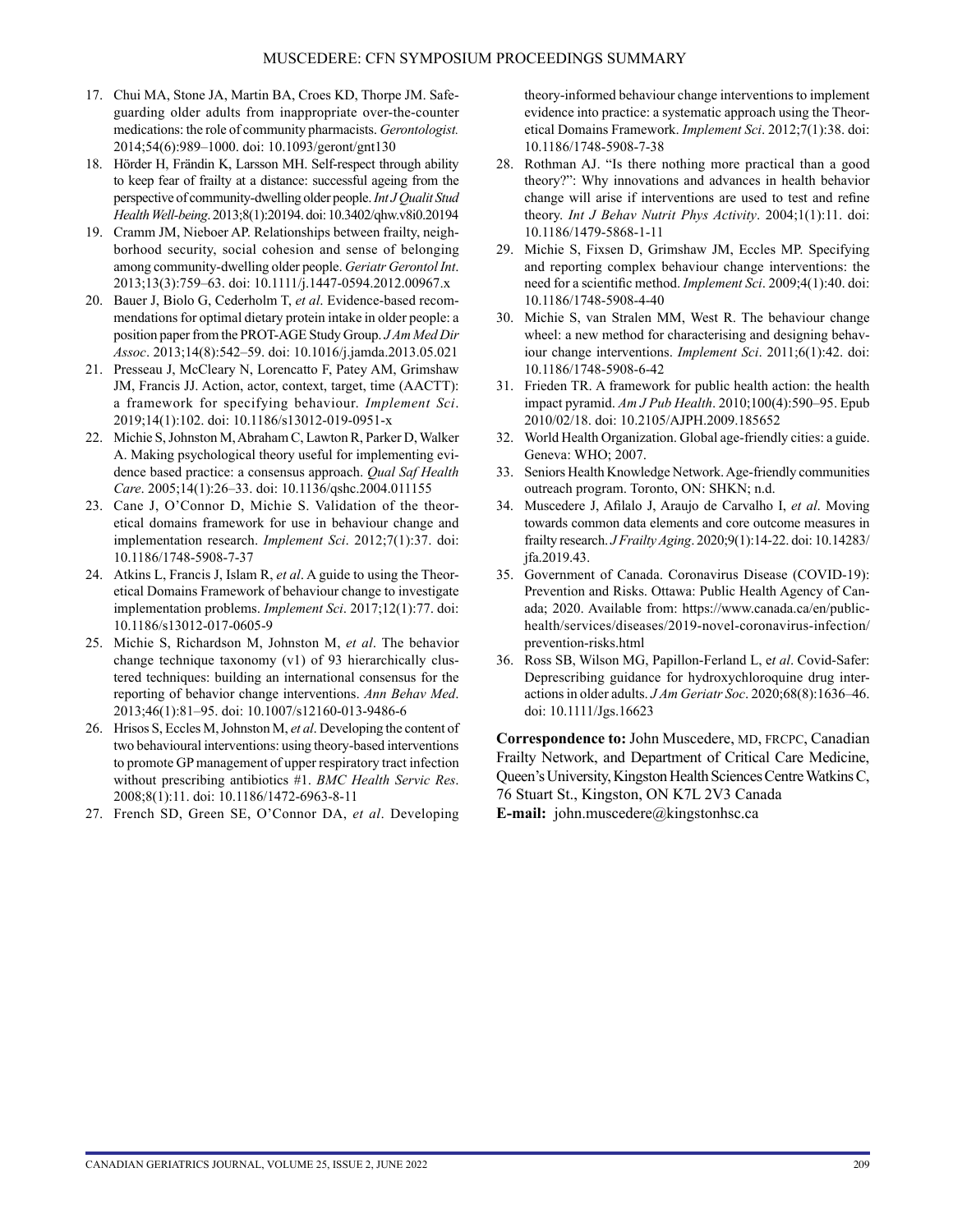- 17. Chui MA, Stone JA, Martin BA, Croes KD, Thorpe JM. Safeguarding older adults from inappropriate over-the-counter medications: the role of community pharmacists. *Gerontologist.* 2014;54(6):989–1000. doi: 10.1093/geront/gnt130
- 18. Hörder H, Frändin K, Larsson MH. Self-respect through ability to keep fear of frailty at a distance: successful ageing from the perspective of community-dwelling older people. *Int J Qualit Stud Health Well-being*. 2013;8(1):20194. doi: 10.3402/qhw.v8i0.20194
- 19. Cramm JM, Nieboer AP. Relationships between frailty, neighborhood security, social cohesion and sense of belonging among community-dwelling older people. *Geriatr Gerontol Int*. 2013;13(3):759–63. doi: 10.1111/j.1447-0594.2012.00967.x
- 20. Bauer J, Biolo G, Cederholm T, *et al*. Evidence-based recommendations for optimal dietary protein intake in older people: a position paper from the PROT-AGE Study Group. *J Am Med Dir Assoc*. 2013;14(8):542–59. doi: 10.1016/j.jamda.2013.05.021
- 21. Presseau J, McCleary N, Lorencatto F, Patey AM, Grimshaw JM, Francis JJ. Action, actor, context, target, time (AACTT): a framework for specifying behaviour. *Implement Sci*. 2019;14(1):102. doi: 10.1186/s13012-019-0951-x
- 22. Michie S, Johnston M, Abraham C, Lawton R, Parker D, Walker A. Making psychological theory useful for implementing evidence based practice: a consensus approach. *Qual Saf Health Care*. 2005;14(1):26–33. doi: 10.1136/qshc.2004.011155
- 23. Cane J, O'Connor D, Michie S. Validation of the theoretical domains framework for use in behaviour change and implementation research. *Implement Sci*. 2012;7(1):37. doi: 10.1186/1748-5908-7-37
- 24. Atkins L, Francis J, Islam R, *et al*. A guide to using the Theoretical Domains Framework of behaviour change to investigate implementation problems. *Implement Sci*. 2017;12(1):77. doi: 10.1186/s13012-017-0605-9
- 25. Michie S, Richardson M, Johnston M, *et al*. The behavior change technique taxonomy (v1) of 93 hierarchically clustered techniques: building an international consensus for the reporting of behavior change interventions. *Ann Behav Med*. 2013;46(1):81–95. doi: 10.1007/s12160-013-9486-6
- 26. Hrisos S, Eccles M, Johnston M, *et al*. Developing the content of two behavioural interventions: using theory-based interventions to promote GP management of upper respiratory tract infection without prescribing antibiotics #1. *BMC Health Servic Res*. 2008;8(1):11. doi: 10.1186/1472-6963-8-11
- 27. French SD, Green SE, O'Connor DA, *et al*. Developing

theory-informed behaviour change interventions to implement evidence into practice: a systematic approach using the Theoretical Domains Framework. *Implement Sci*. 2012;7(1):38. doi: 10.1186/1748-5908-7-38

- 28. Rothman AJ. "Is there nothing more practical than a good theory?": Why innovations and advances in health behavior change will arise if interventions are used to test and refine theory. *Int J Behav Nutrit Phys Activity*. 2004;1(1):11. doi: 10.1186/1479-5868-1-11
- 29. Michie S, Fixsen D, Grimshaw JM, Eccles MP. Specifying and reporting complex behaviour change interventions: the need for a scientific method. *Implement Sci*. 2009;4(1):40. doi: 10.1186/1748-5908-4-40
- 30. Michie S, van Stralen MM, West R. The behaviour change wheel: a new method for characterising and designing behaviour change interventions. *Implement Sci*. 2011;6(1):42. doi: 10.1186/1748-5908-6-42
- 31. Frieden TR. A framework for public health action: the health impact pyramid. *Am J Pub Health*. 2010;100(4):590–95. Epub 2010/02/18. doi: 10.2105/AJPH.2009.185652
- 32. World Health Organization. Global age-friendly cities: a guide. Geneva: WHO; 2007.
- 33. Seniors Health Knowledge Network. Age-friendly communities outreach program. Toronto, ON: SHKN; n.d.
- 34. Muscedere J, Afilalo J, Araujo de Carvalho I, *et al*. Moving towards common data elements and core outcome measures in frailty research. *J Frailty Aging*. 2020;9(1):14-22. doi: 10.14283/ jfa.2019.43.
- 35. Government of Canada. Coronavirus Disease (COVID-19): Prevention and Risks. Ottawa: Public Health Agency of Canada; 2020. Available from: [https://www.canada.ca/en/public](https://www.canada.ca/en/public-health/services/diseases/2019-novel-coronavirus-infection/prevention-risks.html)[health/services/diseases/2019-novel-coronavirus-infection/](https://www.canada.ca/en/public-health/services/diseases/2019-novel-coronavirus-infection/prevention-risks.html) [prevention-risks.html](https://www.canada.ca/en/public-health/services/diseases/2019-novel-coronavirus-infection/prevention-risks.html)
- 36. Ross SB, Wilson MG, Papillon-Ferland L, e*t al*. Covid-Safer: Deprescribing guidance for hydroxychloroquine drug interactions in older adults. *J Am Geriatr Soc*. 2020;68(8):1636–46. doi: 10.1111/Jgs.16623

**Correspondence to:** John Muscedere, MD, FRCPC, Canadian Frailty Network, and Department of Critical Care Medicine, Queen's University, Kingston Health Sciences Centre WatkinsC, 76 Stuart St., Kingston, ON K7L 2V3 Canada **E-mail:** [john.muscedere@kingstonhsc.ca](mailto:john.muscedere@kingstonhsc.ca)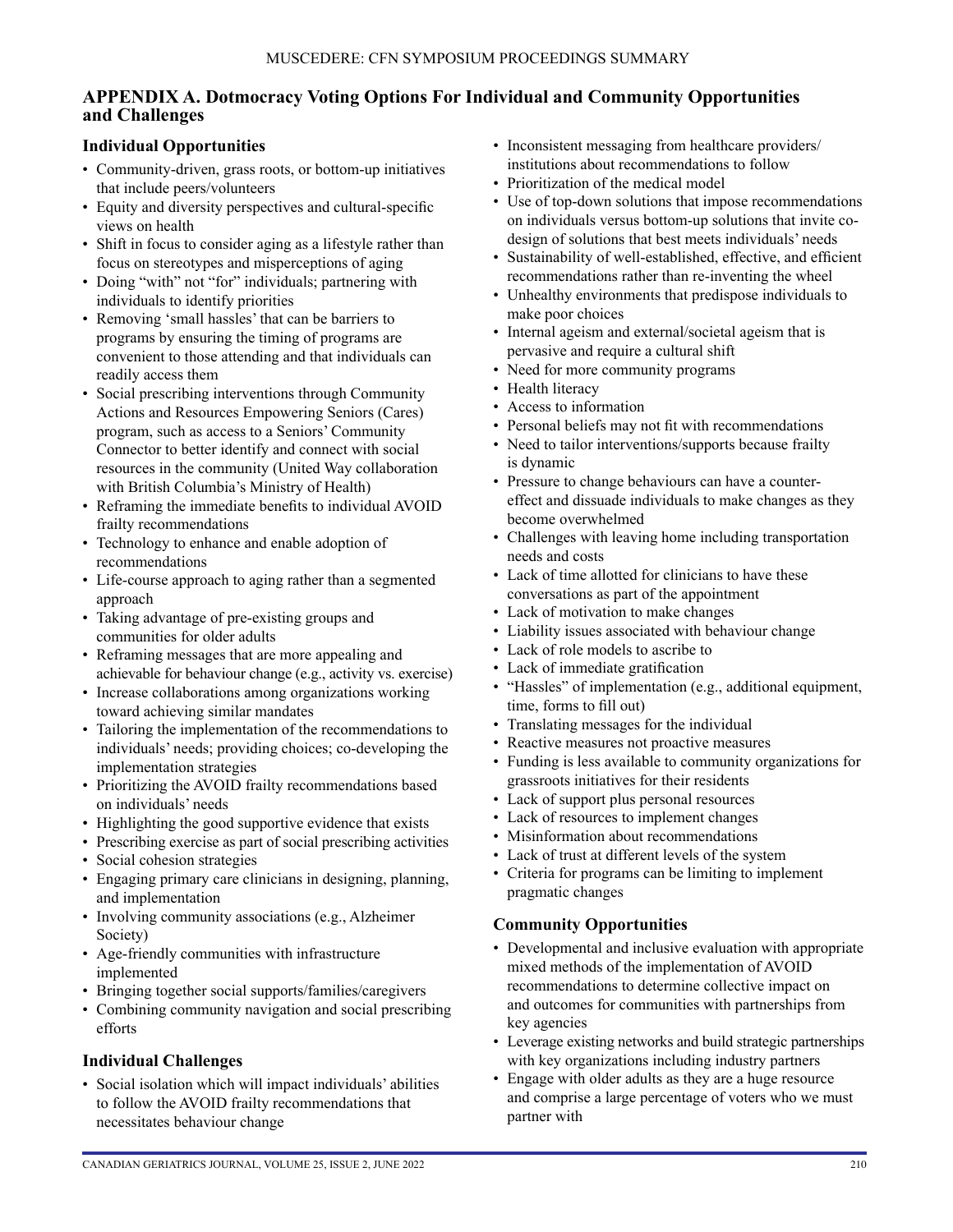## **APPENDIX A. Dotmocracy Voting Options For Individual and Community Opportunities and Challenges**

### **Individual Opportunities**

- Community-driven, grass roots, or bottom-up initiatives that include peers/volunteers
- Equity and diversity perspectives and cultural-specific views on health
- Shift in focus to consider aging as a lifestyle rather than focus on stereotypes and misperceptions of aging
- Doing "with" not "for" individuals; partnering with individuals to identify priorities
- Removing 'small hassles' that can be barriers to programs by ensuring the timing of programs are convenient to those attending and that individuals can readily access them
- Social prescribing interventions through Community Actions and Resources Empowering Seniors (Cares) program, such as access to a Seniors' Community Connector to better identify and connect with social resources in the community (United Way collaboration with British Columbia's Ministry of Health)
- Reframing the immediate benefits to individual AVOID frailty recommendations
- Technology to enhance and enable adoption of recommendations
- Life-course approach to aging rather than a segmented approach
- Taking advantage of pre-existing groups and communities for older adults
- Reframing messages that are more appealing and achievable for behaviour change (e.g., activity vs. exercise)
- Increase collaborations among organizations working toward achieving similar mandates
- Tailoring the implementation of the recommendations to individuals' needs; providing choices; co-developing the implementation strategies
- Prioritizing the AVOID frailty recommendations based on individuals' needs
- Highlighting the good supportive evidence that exists
- Prescribing exercise as part of social prescribing activities
- Social cohesion strategies
- Engaging primary care clinicians in designing, planning, and implementation
- Involving community associations (e.g., Alzheimer Society)
- Age-friendly communities with infrastructure implemented
- Bringing together social supports/families/caregivers
- Combining community navigation and social prescribing efforts

## **Individual Challenges**

• Social isolation which will impact individuals' abilities to follow the AVOID frailty recommendations that necessitates behaviour change

- Inconsistent messaging from healthcare providers/ institutions about recommendations to follow
- Prioritization of the medical model
- Use of top-down solutions that impose recommendations on individuals versus bottom-up solutions that invite codesign of solutions that best meets individuals' needs
- Sustainability of well-established, effective, and efficient recommendations rather than re-inventing the wheel
- Unhealthy environments that predispose individuals to make poor choices
- Internal ageism and external/societal ageism that is pervasive and require a cultural shift
- Need for more community programs
- Health literacy
- Access to information
- Personal beliefs may not fit with recommendations
- Need to tailor interventions/supports because frailty is dynamic
- Pressure to change behaviours can have a countereffect and dissuade individuals to make changes as they become overwhelmed
- Challenges with leaving home including transportation needs and costs
- Lack of time allotted for clinicians to have these conversations as part of the appointment
- Lack of motivation to make changes
- Liability issues associated with behaviour change
- Lack of role models to ascribe to
- Lack of immediate gratification
- "Hassles" of implementation (e.g., additional equipment, time, forms to fill out)
- Translating messages for the individual
- Reactive measures not proactive measures
- Funding is less available to community organizations for grassroots initiatives for their residents
- Lack of support plus personal resources
- Lack of resources to implement changes
- Misinformation about recommendations
- Lack of trust at different levels of the system
- Criteria for programs can be limiting to implement pragmatic changes

#### **Community Opportunities**

- Developmental and inclusive evaluation with appropriate mixed methods of the implementation of AVOID recommendations to determine collective impact on and outcomes for communities with partnerships from key agencies
- Leverage existing networks and build strategic partnerships with key organizations including industry partners
- Engage with older adults as they are a huge resource and comprise a large percentage of voters who we must partner with